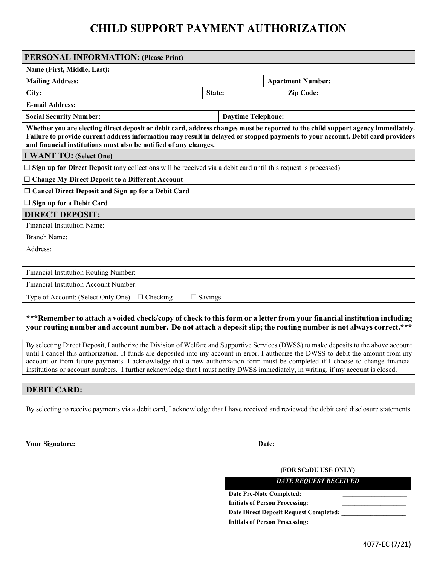# **CHILD SUPPORT PAYMENT AUTHORIZATION**

| Name (First, Middle, Last):<br><b>Mailing Address:</b><br>City:<br><b>E-mail Address:</b><br><b>Social Security Number:</b><br>Whether you are electing direct deposit or debit card, address changes must be reported to the child support agency immediately.<br>Failure to provide current address information may result in delayed or stopped payments to your account. Debit card providers                                                                                                                                                   | State:<br><b>Daytime Telephone:</b> | <b>Apartment Number:</b><br><b>Zip Code:</b> |  |  |  |
|-----------------------------------------------------------------------------------------------------------------------------------------------------------------------------------------------------------------------------------------------------------------------------------------------------------------------------------------------------------------------------------------------------------------------------------------------------------------------------------------------------------------------------------------------------|-------------------------------------|----------------------------------------------|--|--|--|
|                                                                                                                                                                                                                                                                                                                                                                                                                                                                                                                                                     |                                     |                                              |  |  |  |
|                                                                                                                                                                                                                                                                                                                                                                                                                                                                                                                                                     |                                     |                                              |  |  |  |
|                                                                                                                                                                                                                                                                                                                                                                                                                                                                                                                                                     |                                     |                                              |  |  |  |
|                                                                                                                                                                                                                                                                                                                                                                                                                                                                                                                                                     |                                     |                                              |  |  |  |
|                                                                                                                                                                                                                                                                                                                                                                                                                                                                                                                                                     |                                     |                                              |  |  |  |
| and financial institutions must also be notified of any changes.                                                                                                                                                                                                                                                                                                                                                                                                                                                                                    |                                     |                                              |  |  |  |
| <b>I WANT TO: (Select One)</b>                                                                                                                                                                                                                                                                                                                                                                                                                                                                                                                      |                                     |                                              |  |  |  |
| $\Box$ Sign up for Direct Deposit (any collections will be received via a debit card until this request is processed)                                                                                                                                                                                                                                                                                                                                                                                                                               |                                     |                                              |  |  |  |
| □ Change My Direct Deposit to a Different Account                                                                                                                                                                                                                                                                                                                                                                                                                                                                                                   |                                     |                                              |  |  |  |
| □ Cancel Direct Deposit and Sign up for a Debit Card                                                                                                                                                                                                                                                                                                                                                                                                                                                                                                |                                     |                                              |  |  |  |
| $\Box$ Sign up for a Debit Card                                                                                                                                                                                                                                                                                                                                                                                                                                                                                                                     |                                     |                                              |  |  |  |
| <b>DIRECT DEPOSIT:</b>                                                                                                                                                                                                                                                                                                                                                                                                                                                                                                                              |                                     |                                              |  |  |  |
| <b>Financial Institution Name:</b>                                                                                                                                                                                                                                                                                                                                                                                                                                                                                                                  |                                     |                                              |  |  |  |
| <b>Branch Name:</b>                                                                                                                                                                                                                                                                                                                                                                                                                                                                                                                                 |                                     |                                              |  |  |  |
| Address:                                                                                                                                                                                                                                                                                                                                                                                                                                                                                                                                            |                                     |                                              |  |  |  |
|                                                                                                                                                                                                                                                                                                                                                                                                                                                                                                                                                     |                                     |                                              |  |  |  |
| Financial Institution Routing Number:                                                                                                                                                                                                                                                                                                                                                                                                                                                                                                               |                                     |                                              |  |  |  |
| Financial Institution Account Number:                                                                                                                                                                                                                                                                                                                                                                                                                                                                                                               |                                     |                                              |  |  |  |
| Type of Account: (Select Only One) □ Checking<br>$\Box$ Savings                                                                                                                                                                                                                                                                                                                                                                                                                                                                                     |                                     |                                              |  |  |  |
| ***Remember to attach a voided check/copy of check to this form or a letter from your financial institution including<br>your routing number and account number. Do not attach a deposit slip; the routing number is not always correct.***                                                                                                                                                                                                                                                                                                         |                                     |                                              |  |  |  |
| By selecting Direct Deposit, I authorize the Division of Welfare and Supportive Services (DWSS) to make deposits to the above account<br>until I cancel this authorization. If funds are deposited into my account in error, I authorize the DWSS to debit the amount from my<br>account or from future payments. I acknowledge that a new authorization form must be completed if I choose to change financial<br>institutions or account numbers. I further acknowledge that I must notify DWSS immediately, in writing, if my account is closed. |                                     |                                              |  |  |  |
| <b>DEBIT CARD:</b>                                                                                                                                                                                                                                                                                                                                                                                                                                                                                                                                  |                                     |                                              |  |  |  |
| By selecting to receive payments via a debit card, I acknowledge that I have received and reviewed the debit card disclosure statements.                                                                                                                                                                                                                                                                                                                                                                                                            |                                     |                                              |  |  |  |

**Pour Signature:** Date:

| (FOR SCaDU USE ONLY)                          |  |  |  |  |  |
|-----------------------------------------------|--|--|--|--|--|
| <b>DATE REOUEST RECEIVED</b>                  |  |  |  |  |  |
| <b>Date Pre-Note Completed:</b>               |  |  |  |  |  |
| <b>Initials of Person Processing:</b>         |  |  |  |  |  |
| <b>Date Direct Deposit Request Completed:</b> |  |  |  |  |  |
| <b>Initials of Person Processing:</b>         |  |  |  |  |  |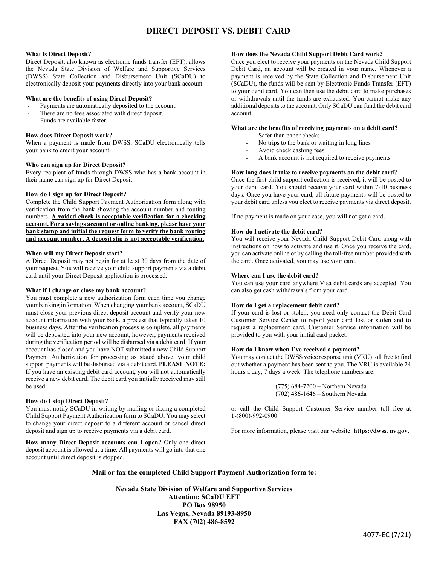#### **What is Direct Deposit?**

Direct Deposit, also known as electronic funds transfer (EFT), allows the Nevada State Division of Welfare and Supportive Services (DWSS) State Collection and Disbursement Unit (SCaDU) to electronically deposit your payments directly into your bank account.

#### **What are the benefits of using Direct Deposit?**

- Payments are automatically deposited to the account.
- There are no fees associated with direct deposit.
- Funds are available faster.

#### **How does Direct Deposit work?**

When a payment is made from DWSS, SCaDU electronically tells your bank to credit your account.

#### **Who can sign up for Direct Deposit?**

 their name can sign up for Direct Deposit. Every recipient of funds through DWSS who has a bank account in

#### **How do I sign up for Direct Deposit?**

Complete the Child Support Payment Authorization form along with verification from the bank showing the account number and routing numbers. **A voided check is acceptable verification for a checking account. For a savings account or online banking, please have your bank stamp and initial the request form to verify the bank routing and account number. A deposit slip is not acceptable verification.** 

#### **When will my Direct Deposit start?**

 A Direct Deposit may not begin for at least 30 days from the date of your request. You will receive your child support payments via a debit card until your Direct Deposit application is processed.

#### **What if I change or close my bank account?**

 your banking information. When changing your bank account, SCaDU must close your previous direct deposit account and verify your new will be deposited into your new account, however, payments received during the verification period will be disbursed via a debit card. If your Payment Authorization for processing as stated above, your child You must complete a new authorization form each time you change account information with your bank, a process that typically takes 10 business days. After the verification process is complete, all payments account has closed and you have NOT submitted a new Child Support support payments will be disbursed via a debit card. **PLEASE NOTE:**  If you have an existing debit card account, you will not automatically receive a new debit card. The debit card you initially received may still be used.

## **How do I stop Direct Deposit?**

 to change your direct deposit to a different account or cancel direct deposit and sign up to receive payments via a debit card. You must notify SCaDU in writing by mailing or faxing a completed Child Support Payment Authorization form to SCaDU. You may select

**How many Direct Deposit accounts can I open?** Only one direct deposit account is allowed at a time. All payments will go into that one account until direct deposit is stopped.

# **How does the Nevada Child Support Debit Card work?**

 payment is received by the State Collection and Disbursement Unit Once you elect to receive your payments on the Nevada Child Support Debit Card, an account will be created in your name. Whenever a (SCaDU), the funds will be sent by Electronic Funds Transfer (EFT) to your debit card. You can then use the debit card to make purchases or withdrawals until the funds are exhausted. You cannot make any additional deposits to the account. Only SCaDU can fund the debit card account.

#### **What are the benefits of receiving payments on a debit card?**

- Safer than paper checks
- No trips to the bank or waiting in long lines
- Avoid check cashing fees
- A bank account is not required to receive payments

#### **How long does it take to receive payments on the debit card?**

 days. Once you have your card, all future payments will be posted to Once the first child support collection is received, it will be posted to your debit card. You should receive your card within 7-10 business your debit card unless you elect to receive payments via direct deposit.

If no payment is made on your case, you will not get a card.

#### **How do I activate the debit card?**

You will receive your Nevada Child Support Debit Card along with instructions on how to activate and use it. Once you receive the card, you can activate online or by calling the toll-free number provided with the card. Once activated, you may use your card.

#### **Where can I use the debit card?**

You can use your card anywhere Visa debit cards are accepted. You can also get cash withdrawals from your card.

#### **How do I get a replacement debit card?**

If your card is lost or stolen, you need only contact the Debit Card Customer Service Center to report your card lost or stolen and to request a replacement card. Customer Service information will be provided to you with your initial card packet.

#### **How do I know when I've received a payment?**

You may contact the DWSS voice response unit (VRU) toll free to find out whether a payment has been sent to you. The VRU is available 24 hours a day, 7 days a week. The telephone numbers are:

> (775) 684-7200 – Northern Nevada (702) 486-1646 – Southern Nevada

 or call the Child Support Customer Service number toll free at 1-(800)-992-0900.

For more information, please visit our website: **[https://dwss.](https://dwss) nv.gov.** 

## **Mail or fax the completed Child Support Payment Authorization form to:**

**Nevada State Division of Welfare and Supportive Services Attention: SCaDU EFT PO Box 98950 Las Vegas, Nevada 89193-8950 FAX (702) 486-8592**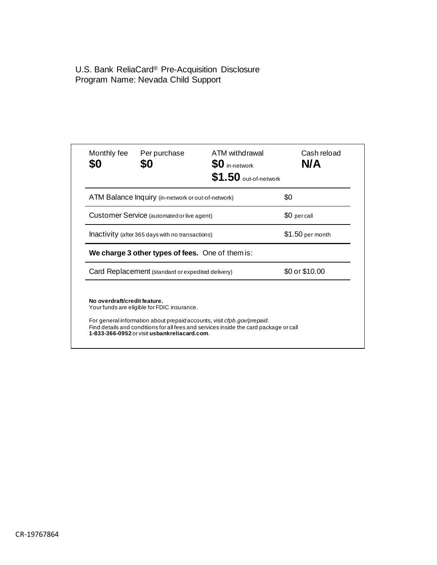# U.S. Bank ReliaCard® Pre-Acquisition Disclosure Program Name: Nevada Child Support

| Monthly fee<br>\$0                                 | Per purchase<br>\$0                                                                         | ATM withdrawal<br><b>SO</b> in-network<br>$$1.50$ out-of-network                                                                                                 | Cash reload<br>N/A |  |  |
|----------------------------------------------------|---------------------------------------------------------------------------------------------|------------------------------------------------------------------------------------------------------------------------------------------------------------------|--------------------|--|--|
| ATM Balance Inquiry (in-network or out-of-network) |                                                                                             | \$0                                                                                                                                                              |                    |  |  |
| Customer Service (automated or live agent)         |                                                                                             | \$0 percall                                                                                                                                                      |                    |  |  |
| Inactivity (after 365 days with no transactions)   |                                                                                             | \$1.50 per month                                                                                                                                                 |                    |  |  |
| We charge 3 other types of fees. One of them is:   |                                                                                             |                                                                                                                                                                  |                    |  |  |
| Card Replacement (standard or expedited delivery)  |                                                                                             |                                                                                                                                                                  | \$0 or \$10.00     |  |  |
| No overdraft/credit feature.                       | Your funds are eligible for FDIC insurance.<br>1-833-366-0952 or visit usbankreliacard.com. | For general information about prepaid accounts, visit cfpb.gov/prepaid.<br>Find details and conditions for all fees and services inside the card package or call |                    |  |  |